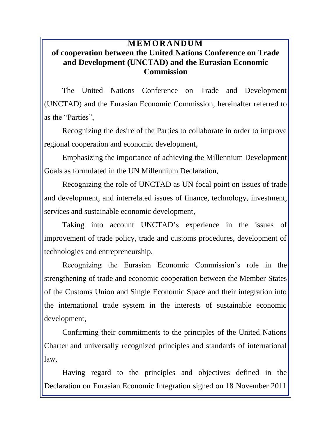## **M E M OR A N DU M of cooperation between the United Nations Conference on Trade and Development (UNCTAD) and the Eurasian Economic Commission**

The United Nations Conference on Trade and Development (UNCTAD) and the Eurasian Economic Commission, hereinafter referred to as the "Parties",

Recognizing the desire of the Parties to collaborate in order to improve regional cooperation and economic development,

Emphasizing the importance of achieving the Millennium Development Goals as formulated in the UN Millennium Declaration,

Recognizing the role of UNCTAD as UN focal point on issues of trade and development, and interrelated issues of finance, technology, investment, services and sustainable economic development,

Taking into account UNCTAD's experience in the issues of improvement of trade policy, trade and customs procedures, development of technologies and entrepreneurship,

Recognizing the Eurasian Economic Commission's role in the strengthening of trade and economic cooperation between the Member States of the Customs Union and Single Economic Space and their integration into the international trade system in the interests of sustainable economic development,

Confirming their commitments to the principles of the United Nations Charter and universally recognized principles and standards of international law,

Having regard to the principles and objectives defined in the Declaration on Eurasian Economic Integration signed on 18 November 2011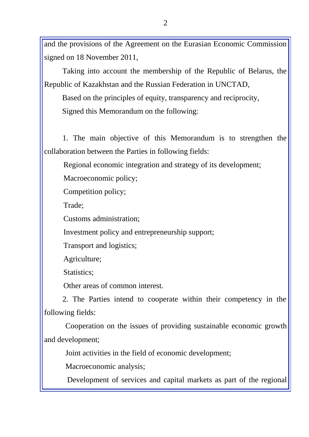and the provisions of the Agreement on the Eurasian Economic Commission signed on 18 November 2011,

Taking into account the membership of the Republic of Belarus, the Republic of Kazakhstan and the Russian Federation in UNCTAD,

Based on the principles of equity, transparency and reciprocity, Signed this Memorandum on the following:

1. The main objective of this Memorandum is to strengthen the collaboration between the Parties in following fields:

Regional economic integration and strategy of its development;

Macroeconomic policy;

Competition policy;

Trade;

Customs administration;

Investment policy and entrepreneurship support;

Transport and logistics;

Agriculture;

Statistics:

Other areas of common interest.

2. The Parties intend to cooperate within their competency in the following fields:

Cooperation on the issues of providing sustainable economic growth and development;

Joint activities in the field of economic development;

Macroeconomic analysis;

Development of services and capital markets as part of the regional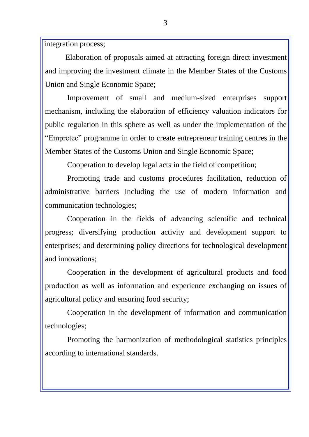integration process;

Elaboration of proposals aimed at attracting foreign direct investment and improving the investment climate in the Member States of the Customs Union and Single Economic Space;

Improvement of small and medium-sized enterprises support mechanism, including the elaboration of efficiency valuation indicators for public regulation in this sphere as well as under the implementation of the "Empretec" programme in order to create entrepreneur training centres in the Member States of the Customs Union and Single Economic Space;

Cooperation to develop legal acts in the field of competition;

Promoting trade and customs procedures facilitation, reduction of administrative barriers including the use of modern information and communication technologies;

Cooperation in the fields of advancing scientific and technical progress; diversifying production activity and development support to enterprises; and determining policy directions for technological development and innovations;

Cooperation in the development of agricultural products and food production as well as information and experience exchanging on issues of agricultural policy and ensuring food security;

Cooperation in the development of information and communication technologies;

Promoting the harmonization of methodological statistics principles according to international standards.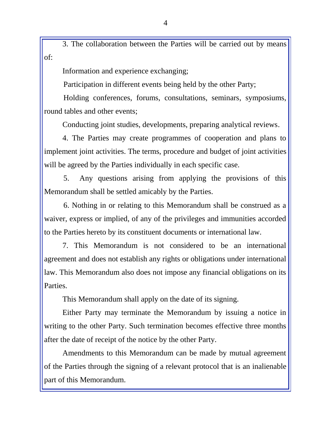3. The collaboration between the Parties will be carried out by means of:

Information and experience exchanging;

Participation in different events being held by the other Party;

Holding conferences, forums, consultations, seminars, symposiums, round tables and other events;

Conducting joint studies, developments, preparing analytical reviews.

4. The Parties may create programmes of cooperation and plans to implement joint activities. The terms, procedure and budget of joint activities will be agreed by the Parties individually in each specific case.

5. Any questions arising from applying the provisions of this Memorandum shall be settled amicably by the Parties.

6. Nothing in or relating to this Memorandum shall be construed as a waiver, express or implied, of any of the privileges and immunities accorded to the Parties hereto by its constituent documents or international law.

7. This Memorandum is not considered to be an international agreement and does not establish any rights or obligations under international law. This Memorandum also does not impose any financial obligations on its Parties.

This Memorandum shall apply on the date of its signing.

Either Party may terminate the Memorandum by issuing a notice in writing to the other Party. Such termination becomes effective three months after the date of receipt of the notice by the other Party.

Amendments to this Memorandum can be made by mutual agreement of the Parties through the signing of a relevant protocol that is an inalienable part of this Memorandum.